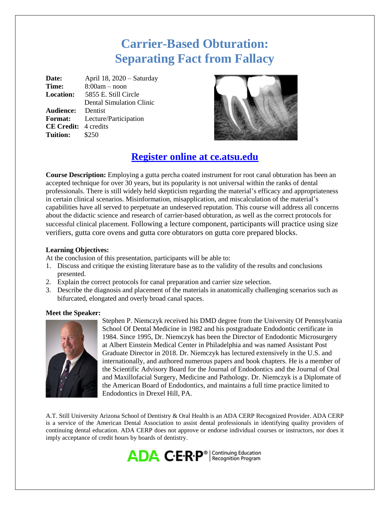# **Carrier-Based Obturation: Separating Fact from Fallacy**

**Date:** April 18, 2020 – Saturday **Time:** 8:00am – noon **Location:** 5855 E. Still Circle Dental Simulation Clinic **Audience:** Dentist **Format:** Lecture/Participation **CE Credit:** 4 credits **Tuition:** \$250



# **Register online at ce.atsu.edu**

**Course Description:** Employing a gutta percha coated instrument for root canal obturation has been an accepted technique for over 30 years, but its popularity is not universal within the ranks of dental professionals. There is still widely held skepticism regarding the material's efficacy and appropriateness in certain clinical scenarios. Misinformation, misapplication, and miscalculation of the material's capabilities have all served to perpetuate an undeserved reputation. This course will address all concerns about the didactic science and research of carrier-based obturation, as well as the correct protocols for successful clinical placement. Following a lecture component, participants will practice using size verifiers, gutta core ovens and gutta core obturators on gutta core prepared blocks.

## **Learning Objectives:**

At the conclusion of this presentation, participants will be able to:

- 1. Discuss and critique the existing literature base as to the validity of the results and conclusions presented.
- 2. Explain the correct protocols for canal preparation and carrier size selection.
- 3. Describe the diagnosis and placement of the materials in anatomically challenging scenarios such as bifurcated, elongated and overly broad canal spaces.

### **Meet the Speaker:**



Stephen P. Niemczyk received his DMD degree from the University Of Pennsylvania School Of Dental Medicine in 1982 and his postgraduate Endodontic certificate in 1984. Since 1995, Dr. Niemczyk has been the Director of Endodontic Microsurgery at Albert Einstein Medical Center in Philadelphia and was named Assistant Post Graduate Director in 2018. Dr. Niemczyk has lectured extensively in the U.S. and internationally, and authored numerous papers and book chapters. He is a member of the Scientific Advisory Board for the Journal of Endodontics and the Journal of Oral and Maxillofacial Surgery, Medicine and Pathology. Dr. Niemczyk is a Diplomate of the American Board of Endodontics, and maintains a full time practice limited to Endodontics in Drexel Hill, PA.

A.T. Still University Arizona School of Dentistry & Oral Health is an ADA CERP Recognized Provider. ADA CERP is a service of the American Dental Association to assist dental professionals in identifying quality providers of continuing dental education. ADA CERP does not approve or endorse individual courses or instructors, nor does it imply acceptance of credit hours by boards of dentistry.